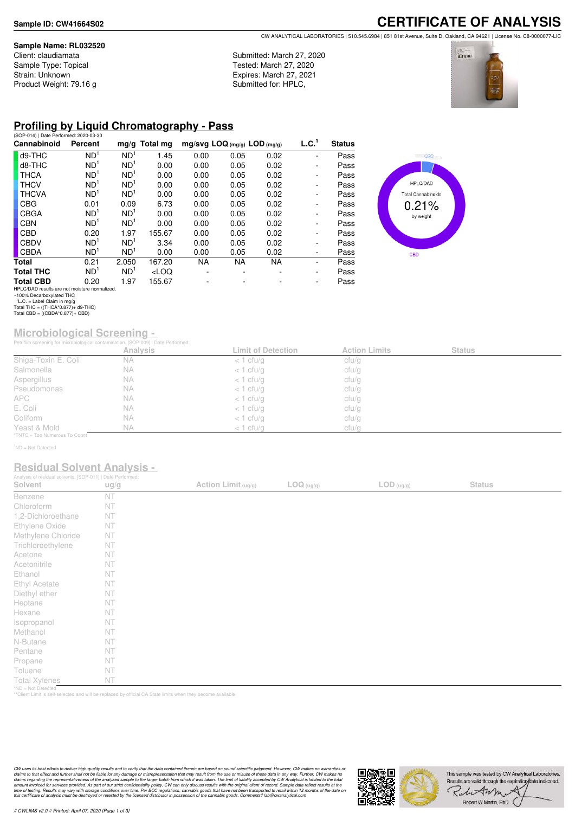#### **Sample Name: RL032520**

Client: claudiamata Sample Type: Topical Strain: Unknown Product Weight: 79.16 g Submitted: March 27, 2020 Tested: March 27, 2020 Expires: March 27, 2021 Submitted for: HPLC,





### **Profiling by Liquid Chromatography - Pass**

| (SOP-014)   Date Performed: 2020-03-30        |                 |                 |                 |                                |      |           |                          |               |
|-----------------------------------------------|-----------------|-----------------|-----------------|--------------------------------|------|-----------|--------------------------|---------------|
| Cannabinoid                                   | Percent         |                 | $mg/g$ Total mg | $mg/svg$ LOQ (mg/g) LOD (mg/g) |      |           | L.C. <sup>1</sup>        | <b>Status</b> |
| d9-THC                                        | ND <sup>1</sup> | ND <sup>1</sup> | 1.45            | 0.00                           | 0.05 | 0.02      |                          | Pass          |
| d8-THC                                        | ND <sup>1</sup> | ND <sup>1</sup> | 0.00            | 0.00                           | 0.05 | 0.02      | -                        | Pass          |
| <b>THCA</b>                                   | ND <sup>1</sup> | ND <sup>1</sup> | 0.00            | 0.00                           | 0.05 | 0.02      | ۰                        | Pass          |
| <b>THCV</b>                                   | ND <sup>1</sup> | ND <sup>1</sup> | 0.00            | 0.00                           | 0.05 | 0.02      | ۰                        | Pass          |
| <b>THCVA</b>                                  | ND <sup>1</sup> | ND <sup>1</sup> | 0.00            | 0.00                           | 0.05 | 0.02      | ۰                        | Pass          |
| <b>CBG</b>                                    | 0.01            | 0.09            | 6.73            | 0.00                           | 0.05 | 0.02      | ۰                        | Pass          |
| <b>CBGA</b>                                   | ND <sup>1</sup> | ND <sup>1</sup> | 0.00            | 0.00                           | 0.05 | 0.02      | ۰                        | Pass          |
| <b>CBN</b>                                    | ND <sup>1</sup> | ND <sup>1</sup> | 0.00            | 0.00                           | 0.05 | 0.02      | ۰                        | Pass          |
| <b>CBD</b>                                    | 0.20            | 1.97            | 155.67          | 0.00                           | 0.05 | 0.02      | $\overline{\phantom{a}}$ | Pass          |
| CBDV                                          | ND <sup>1</sup> | ND <sup>1</sup> | 3.34            | 0.00                           | 0.05 | 0.02      | ۰                        | Pass          |
| <b>CBDA</b>                                   | ND <sup>1</sup> | ND <sup>1</sup> | 0.00            | 0.00                           | 0.05 | 0.02      | ۰                        | Pass          |
| Total                                         | 0.21            | 2.050           | 167.20          | NA.                            | NA.  | <b>NA</b> | ۰                        | Pass          |
| <b>Total THC</b>                              | ND <sup>1</sup> | ND <sup>1</sup> | $<$ LOQ         |                                |      |           | ۰                        | Pass          |
| <b>Total CBD</b>                              | 0.20            | 1.97            | 155.67          |                                |      |           | ٠                        | Pass          |
| HPLC/DAD results are not moisture normalized. |                 |                 |                 |                                |      |           |                          |               |



## **Microbiological Screening -**

|                               | Petriflim screening for microbiological contamination. [SOP-009]   Date Performed: |                           |                      |               |  |
|-------------------------------|------------------------------------------------------------------------------------|---------------------------|----------------------|---------------|--|
|                               | Analysis                                                                           | <b>Limit of Detection</b> | <b>Action Limits</b> | <b>Status</b> |  |
| Shiga-Toxin E. Coli           | <b>NA</b>                                                                          | $<$ 1 cfu/g               | ctu/g                |               |  |
| Salmonella                    | <b>NA</b>                                                                          | $<$ 1 cfu/g               | cfu/g                |               |  |
| Aspergillus                   | <b>NA</b>                                                                          | $<$ 1 cfu/g               | ctu/g                |               |  |
| Pseudomonas                   | <b>NA</b>                                                                          | $<$ 1 cfu/g               | ctu/g                |               |  |
| <b>APC</b>                    | <b>NA</b>                                                                          | $<$ 1 cfu/g               | cfu/g                |               |  |
| E. Coli                       | <b>NA</b>                                                                          | $<$ 1 cfu/g               | ctu/g                |               |  |
| Coliform                      | <b>NA</b>                                                                          | $<$ 1 cfu/g               | ctu/g                |               |  |
| Yeast & Mold                  | <b>NA</b>                                                                          | $<$ 1 cfu/g               | cfu/g                |               |  |
| *TNTC = Too Numerous To Count |                                                                                    |                           |                      |               |  |

<sup>1</sup>ND = Not Detected

#### **Residual Solvent Analysis -**

| Analysis of residual solvents. [SOP-011]   Date Performed: |      |                     |            |                                          |               |  |
|------------------------------------------------------------|------|---------------------|------------|------------------------------------------|---------------|--|
| Solvent                                                    | ug/g | Action Limit (ug/g) | LOG (ug/g) | $\mathsf{LOD}\left(\mathsf{ug/g}\right)$ | <b>Status</b> |  |
| Benzene                                                    | NT   |                     |            |                                          |               |  |
| Chloroform                                                 | NT   |                     |            |                                          |               |  |
| 1,2-Dichloroethane                                         | NT   |                     |            |                                          |               |  |
| Ethylene Oxide                                             | NT   |                     |            |                                          |               |  |
| Methylene Chloride                                         | NT   |                     |            |                                          |               |  |
| Trichloroethylene                                          | NT   |                     |            |                                          |               |  |
| Acetone                                                    | NT   |                     |            |                                          |               |  |
| Acetonitrile                                               | NT   |                     |            |                                          |               |  |
| Ethanol                                                    | NT   |                     |            |                                          |               |  |
| Ethyl Acetate                                              | NT   |                     |            |                                          |               |  |
| Diethyl ether                                              | NT   |                     |            |                                          |               |  |
| Heptane                                                    | NT   |                     |            |                                          |               |  |
| Hexane                                                     | NT   |                     |            |                                          |               |  |
| Isopropanol                                                | NT   |                     |            |                                          |               |  |
| Methanol                                                   | NT   |                     |            |                                          |               |  |
| N-Butane                                                   | NT   |                     |            |                                          |               |  |
| Pentane                                                    | NT   |                     |            |                                          |               |  |
| Propane                                                    | NT   |                     |            |                                          |               |  |
| Toluene                                                    | NT   |                     |            |                                          |               |  |
| <b>Total Xylenes</b>                                       | NT   |                     |            |                                          |               |  |
| *ND = Not Detected                                         |      |                     |            |                                          |               |  |

\*ND = Not Detected \*\*Client Limit is self-selected and will be replaced by official CA State limits when they become available

CW uses its best efforts to deliver high-quality results and to verify that the data contained therein are based on sound scientific judgment. However, CW makes no warranties or<br>claims to that effect and turther shall not



HPLC/DAD results are not moisture normalized. ~100% Decarboxylated THC 1 L.C. = Label Claim in mg/g Total THC = ((THCA\*0.877)+ d9-THC) Total CBD = ((CBDA\*0.877)+ CBD)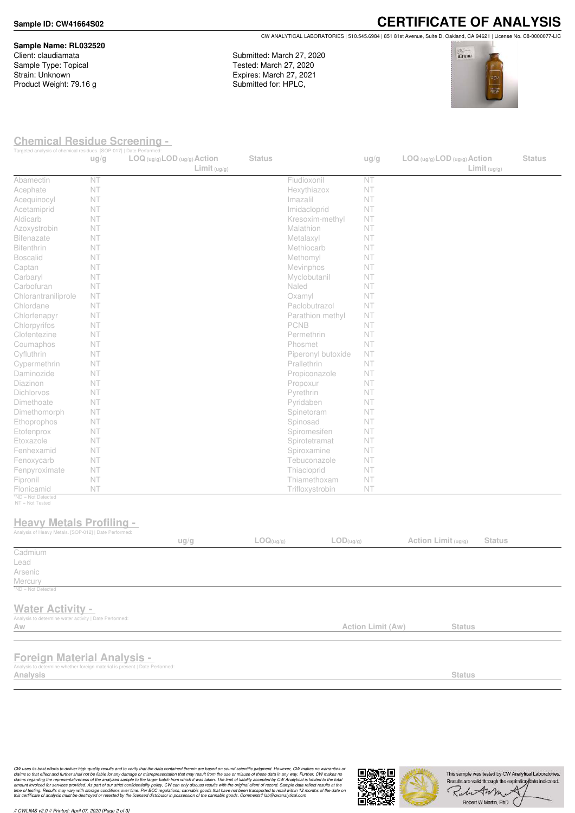**Sample Name: RL032520** Client: claudiamata Sample Type: Topical Strain: Unknown Product Weight: 79.16 g

**CERTIFICATE OF ANALYSIS** CW ANALYTICAL LABORATORIES | 510.545.6984 | 851 81st Avenue, Suite D, Oakland, CA 94621 | License No. C8-0000077-LIC

Submitted: March 27, 2020 Tested: March 27, 2020 Expires: March 27, 2021 Submitted for: HPLC,



#### **Chemical Residue Screening -**

| Targeted analysis of chemical residues. [SOP-017]   Date Performed:                                         | ug/g | LOG (ug/g) LOD (ug/g) Action<br>Limit <sub>(ug/g)</sub> | <b>Status</b> |                               | ug/g              | $LOG$ (ug/g) $LOD$ (ug/g) $Action$<br>Limit <sub>(ug/g)</sub> | <b>Status</b> |
|-------------------------------------------------------------------------------------------------------------|------|---------------------------------------------------------|---------------|-------------------------------|-------------------|---------------------------------------------------------------|---------------|
| Abamectin                                                                                                   | NT   |                                                         |               | Fludioxonil                   | NT                |                                                               |               |
| Acephate                                                                                                    | NT   |                                                         |               | Hexythiazox                   | NT                |                                                               |               |
| Acequinocyl                                                                                                 | NT   |                                                         |               | Imazalil                      | NT                |                                                               |               |
| Acetamiprid                                                                                                 | NT   |                                                         |               | Imidacloprid                  | NT                |                                                               |               |
| Aldicarb                                                                                                    | NT   |                                                         |               | Kresoxim-methyl               | NT                |                                                               |               |
| Azoxystrobin                                                                                                | NT   |                                                         |               | Malathion                     | NT                |                                                               |               |
| <b>Bifenazate</b>                                                                                           | NT   |                                                         |               | Metalaxyl                     | NT                |                                                               |               |
| Bifenthrin                                                                                                  | NT   |                                                         |               | Methiocarb                    | NT                |                                                               |               |
| <b>Boscalid</b>                                                                                             | NT   |                                                         |               | Methomyl                      | NT                |                                                               |               |
| Captan                                                                                                      | NT   |                                                         |               | Mevinphos                     | NT                |                                                               |               |
| Carbaryl                                                                                                    | NT   |                                                         |               | Myclobutanil                  | NT                |                                                               |               |
| Carbofuran                                                                                                  | NT   |                                                         |               | Naled                         | NT                |                                                               |               |
| Chlorantraniliprole                                                                                         | NT   |                                                         |               | Oxamyl                        | NT                |                                                               |               |
| Chlordane                                                                                                   | NT   |                                                         |               | Paclobutrazol                 | NT                |                                                               |               |
| Chlorfenapyr                                                                                                | NT   |                                                         |               | Parathion methyl              | NT                |                                                               |               |
| Chlorpyrifos                                                                                                | NT   |                                                         |               | PCNB                          | NT                |                                                               |               |
| Clofentezine                                                                                                | NT   |                                                         |               | Permethrin                    | NT                |                                                               |               |
| Coumaphos                                                                                                   | NT   |                                                         |               | Phosmet                       | NT                |                                                               |               |
| Cyfluthrin                                                                                                  | NT   |                                                         |               | Piperonyl butoxide            | NT                |                                                               |               |
| Cypermethrin                                                                                                | NT   |                                                         |               | Prallethrin                   | NT                |                                                               |               |
| Daminozide                                                                                                  | NT   |                                                         |               | Propiconazole                 | NT                |                                                               |               |
| Diazinon                                                                                                    | NT   |                                                         |               | Propoxur                      | NT                |                                                               |               |
| Dichlorvos                                                                                                  | NT   |                                                         |               | Pyrethrin                     | NT                |                                                               |               |
| Dimethoate                                                                                                  | NT   |                                                         |               | Pyridaben                     | NT                |                                                               |               |
| Dimethomorph                                                                                                | NT   |                                                         |               | Spinetoram                    | NT                |                                                               |               |
| Ethoprophos                                                                                                 | NT   |                                                         |               | Spinosad                      | NT                |                                                               |               |
| Etofenprox                                                                                                  | NT   |                                                         |               | Spiromesifen                  | NT                |                                                               |               |
| Etoxazole                                                                                                   | NT   |                                                         |               | Spirotetramat                 | NT                |                                                               |               |
| Fenhexamid                                                                                                  | NT   |                                                         |               | Spiroxamine                   | NT                |                                                               |               |
| Fenoxycarb                                                                                                  | NT   |                                                         |               | Tebuconazole                  | NT                |                                                               |               |
| Fenpyroximate                                                                                               | NT   |                                                         |               | Thiacloprid                   | NT                |                                                               |               |
| Fipronil                                                                                                    | NT   |                                                         |               | Thiamethoxam                  | NT                |                                                               |               |
| Flonicamid<br>*ND = Not Detected                                                                            | NT   |                                                         |               | Trifloxystrobin               | NT                |                                                               |               |
| NT = Not Tested<br><b>Heavy Metals Profiling -</b><br>Analysis of Heavy Metals. [SOP-012]   Date Performed: |      |                                                         |               |                               |                   |                                                               |               |
|                                                                                                             |      | ug/g                                                    | LOQ(ug/g)     | $\mathsf{LOD}(\mathsf{ug/g})$ |                   | Action Limit (ug/g)<br><b>Status</b>                          |               |
| Cadmium<br>Lead                                                                                             |      |                                                         |               |                               |                   |                                                               |               |
| Arsenic                                                                                                     |      |                                                         |               |                               |                   |                                                               |               |
| Mercury                                                                                                     |      |                                                         |               |                               |                   |                                                               |               |
| <sup>1</sup> ND = Not Detected                                                                              |      |                                                         |               |                               |                   |                                                               |               |
| <b>Water Activity -</b><br>Analysis to determine water activity   Date Performed:                           |      |                                                         |               |                               |                   |                                                               |               |
| Aw                                                                                                          |      |                                                         |               |                               | Action Limit (Aw) | <b>Status</b>                                                 |               |
|                                                                                                             |      |                                                         |               |                               |                   |                                                               |               |
| <b>Foreign Material Analysis -</b>                                                                          |      |                                                         |               |                               |                   |                                                               |               |
| Analysis to determine whether foreign material is present   Date Performed:<br>Analysis                     |      |                                                         |               |                               |                   | <b>Status</b>                                                 |               |
|                                                                                                             |      |                                                         |               |                               |                   |                                                               |               |
|                                                                                                             |      |                                                         |               |                               |                   |                                                               |               |

CW uses its best efforts to deliver high-quality results and to verify that the data contained therein are based on sound scientific judgment. However, CW makes no warranties or<br>claims to that effect and turther shall not